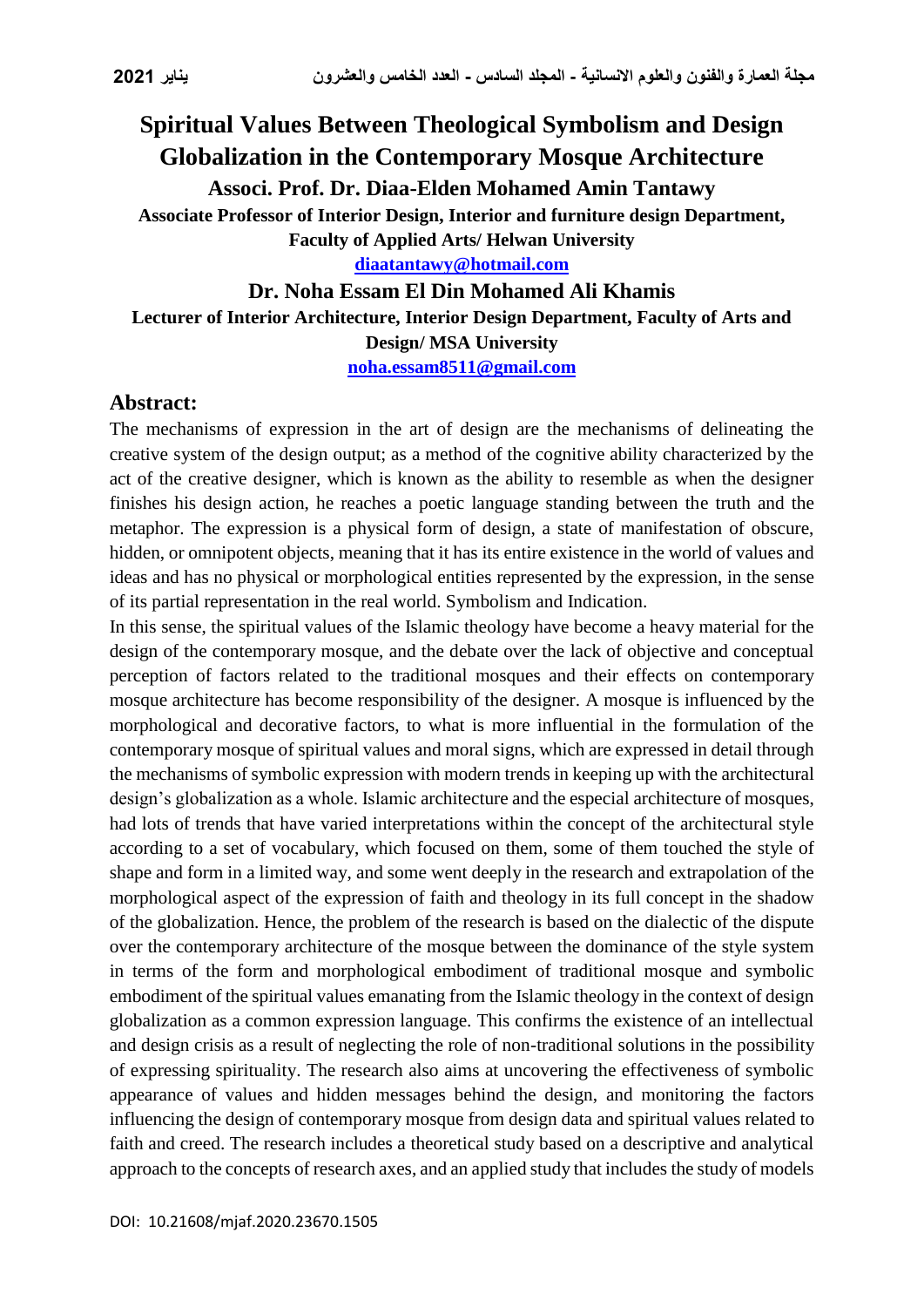## **Spiritual Values Between Theological Symbolism and Design Globalization in the Contemporary Mosque Architecture Associ. Prof. Dr. Diaa-Elden Mohamed Amin Tantawy Associate Professor of Interior Design, Interior and furniture design Department, Faculty of Applied Arts/ Helwan University [diaatantawy@hotmail.com](mailto:diaatantawy@hotmail.com) Dr. Noha Essam El Din Mohamed Ali Khamis**

**Lecturer of Interior Architecture, Interior Design Department, Faculty of Arts and Design/ MSA University [noha.essam8511@gmail.com](mailto:noha.essam8511@gmail.com)**

**Abstract:**

The mechanisms of expression in the art of design are the mechanisms of delineating the creative system of the design output; as a method of the cognitive ability characterized by the act of the creative designer, which is known as the ability to resemble as when the designer finishes his design action, he reaches a poetic language standing between the truth and the metaphor. The expression is a physical form of design, a state of manifestation of obscure, hidden, or omnipotent objects, meaning that it has its entire existence in the world of values and ideas and has no physical or morphological entities represented by the expression, in the sense of its partial representation in the real world. Symbolism and Indication.

In this sense, the spiritual values of the Islamic theology have become a heavy material for the design of the contemporary mosque, and the debate over the lack of objective and conceptual perception of factors related to the traditional mosques and their effects on contemporary mosque architecture has become responsibility of the designer. A mosque is influenced by the morphological and decorative factors, to what is more influential in the formulation of the contemporary mosque of spiritual values and moral signs, which are expressed in detail through the mechanisms of symbolic expression with modern trends in keeping up with the architectural design's globalization as a whole. Islamic architecture and the especial architecture of mosques, had lots of trends that have varied interpretations within the concept of the architectural style according to a set of vocabulary, which focused on them, some of them touched the style of shape and form in a limited way, and some went deeply in the research and extrapolation of the morphological aspect of the expression of faith and theology in its full concept in the shadow of the globalization. Hence, the problem of the research is based on the dialectic of the dispute over the contemporary architecture of the mosque between the dominance of the style system in terms of the form and morphological embodiment of traditional mosque and symbolic embodiment of the spiritual values emanating from the Islamic theology in the context of design globalization as a common expression language. This confirms the existence of an intellectual and design crisis as a result of neglecting the role of non-traditional solutions in the possibility of expressing spirituality. The research also aims at uncovering the effectiveness of symbolic appearance of values and hidden messages behind the design, and monitoring the factors influencing the design of contemporary mosque from design data and spiritual values related to faith and creed. The research includes a theoretical study based on a descriptive and analytical approach to the concepts of research axes, and an applied study that includes the study of models